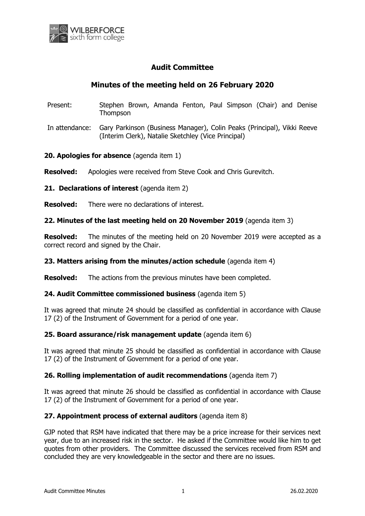

## **Audit Committee**

# **Minutes of the meeting held on 26 February 2020**

- Present: Stephen Brown, Amanda Fenton, Paul Simpson (Chair) and Denise **Thompson**
- In attendance: Gary Parkinson (Business Manager), Colin Peaks (Principal), Vikki Reeve (Interim Clerk), Natalie Sketchley (Vice Principal)

**20. Apologies for absence** (agenda item 1)

**Resolved:** Apologies were received from Steve Cook and Chris Gurevitch.

**21. Declarations of interest** (agenda item 2)

**Resolved:** There were no declarations of interest.

#### **22. Minutes of the last meeting held on 20 November 2019** (agenda item 3)

**Resolved:** The minutes of the meeting held on 20 November 2019 were accepted as a correct record and signed by the Chair.

#### **23. Matters arising from the minutes/action schedule** (agenda item 4)

**Resolved:** The actions from the previous minutes have been completed.

#### **24. Audit Committee commissioned business** (agenda item 5)

It was agreed that minute 24 should be classified as confidential in accordance with Clause 17 (2) of the Instrument of Government for a period of one year.

#### **25. Board assurance/risk management update** (agenda item 6)

It was agreed that minute 25 should be classified as confidential in accordance with Clause 17 (2) of the Instrument of Government for a period of one year.

#### **26. Rolling implementation of audit recommendations** (agenda item 7)

It was agreed that minute 26 should be classified as confidential in accordance with Clause 17 (2) of the Instrument of Government for a period of one year.

#### **27. Appointment process of external auditors** (agenda item 8)

GJP noted that RSM have indicated that there may be a price increase for their services next year, due to an increased risk in the sector. He asked if the Committee would like him to get quotes from other providers. The Committee discussed the services received from RSM and concluded they are very knowledgeable in the sector and there are no issues.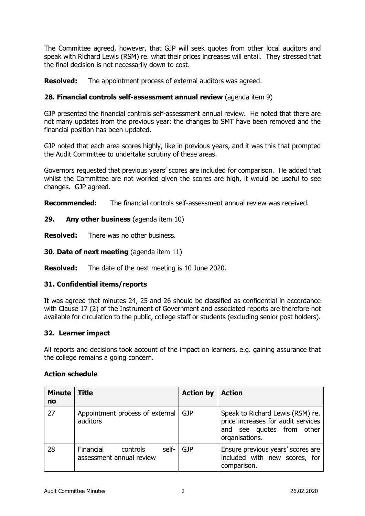The Committee agreed, however, that GJP will seek quotes from other local auditors and speak with Richard Lewis (RSM) re. what their prices increases will entail. They stressed that the final decision is not necessarily down to cost.

**Resolved:** The appointment process of external auditors was agreed.

### **28. Financial controls self-assessment annual review** (agenda item 9)

GJP presented the financial controls self-assessment annual review. He noted that there are not many updates from the previous year: the changes to SMT have been removed and the financial position has been updated.

GJP noted that each area scores highly, like in previous years, and it was this that prompted the Audit Committee to undertake scrutiny of these areas.

Governors requested that previous years' scores are included for comparison. He added that whilst the Committee are not worried given the scores are high, it would be useful to see changes. GJP agreed.

**Recommended:** The financial controls self-assessment annual review was received.

**29. Any other business** (agenda item 10)

**Resolved:** There was no other business.

**30. Date of next meeting** (agenda item 11)

**Resolved:** The date of the next meeting is 10 June 2020.

## **31. Confidential items/reports**

It was agreed that minutes 24, 25 and 26 should be classified as confidential in accordance with Clause 17 (2) of the Instrument of Government and associated reports are therefore not available for circulation to the public, college staff or students (excluding senior post holders).

#### **32. Learner impact**

All reports and decisions took account of the impact on learners, e.g. gaining assurance that the college remains a going concern.

#### **Action schedule**

| <b>Minute</b><br>no | <b>Title</b>                                               | <b>Action by</b> | <b>Action</b>                                                                                                         |
|---------------------|------------------------------------------------------------|------------------|-----------------------------------------------------------------------------------------------------------------------|
| 27                  | Appointment process of external<br>auditors                | <b>GJP</b>       | Speak to Richard Lewis (RSM) re.<br>price increases for audit services<br>and see quotes from other<br>organisations. |
| 28                  | Financial<br>controls<br>self-<br>assessment annual review | <b>GJP</b>       | Ensure previous years' scores are<br>included with new scores, for<br>comparison.                                     |